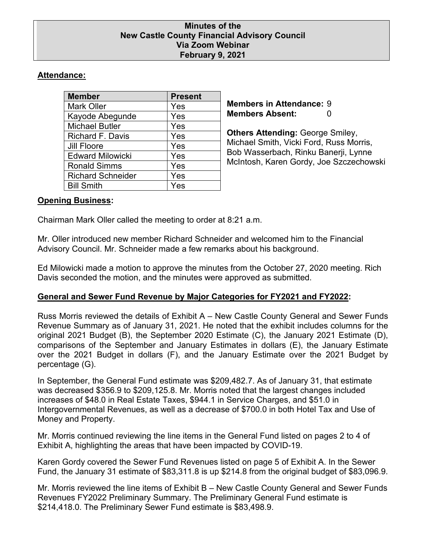#### **Minutes of the New Castle County Financial Advisory Council Via Zoom Webinar February 9, 2021**

# **Attendance:**

| <b>Member</b>            | <b>Present</b> |
|--------------------------|----------------|
| <b>Mark Oller</b>        | Yes            |
| Kayode Abegunde          | Yes            |
| <b>Michael Butler</b>    | Yes            |
| <b>Richard F. Davis</b>  | Yes            |
| <b>Jill Floore</b>       | Yes            |
| <b>Edward Milowicki</b>  | Yes            |
| <b>Ronald Simms</b>      | Yes            |
| <b>Richard Schneider</b> | Yes            |
| <b>Bill Smith</b>        | Yes            |

**Members in Attendance:** 9 **Members Absent:** 0

**Others Attending:** George Smiley, Michael Smith, Vicki Ford, Russ Morris, Bob Wasserbach, Rinku Banerji, Lynne McIntosh, Karen Gordy, Joe Szczechowski

# **Opening Business:**

Chairman Mark Oller called the meeting to order at 8:21 a.m.

Mr. Oller introduced new member Richard Schneider and welcomed him to the Financial Advisory Council. Mr. Schneider made a few remarks about his background.

Ed Milowicki made a motion to approve the minutes from the October 27, 2020 meeting. Rich Davis seconded the motion, and the minutes were approved as submitted.

# **General and Sewer Fund Revenue by Major Categories for FY2021 and FY2022:**

Russ Morris reviewed the details of Exhibit A – New Castle County General and Sewer Funds Revenue Summary as of January 31, 2021. He noted that the exhibit includes columns for the original 2021 Budget (B), the September 2020 Estimate (C), the January 2021 Estimate (D), comparisons of the September and January Estimates in dollars (E), the January Estimate over the 2021 Budget in dollars (F), and the January Estimate over the 2021 Budget by percentage (G).

In September, the General Fund estimate was \$209,482.7. As of January 31, that estimate was decreased \$356.9 to \$209,125.8. Mr. Morris noted that the largest changes included increases of \$48.0 in Real Estate Taxes, \$944.1 in Service Charges, and \$51.0 in Intergovernmental Revenues, as well as a decrease of \$700.0 in both Hotel Tax and Use of Money and Property.

Mr. Morris continued reviewing the line items in the General Fund listed on pages 2 to 4 of Exhibit A, highlighting the areas that have been impacted by COVID-19.

Karen Gordy covered the Sewer Fund Revenues listed on page 5 of Exhibit A. In the Sewer Fund, the January 31 estimate of \$83,311.8 is up \$214.8 from the original budget of \$83,096.9.

Mr. Morris reviewed the line items of Exhibit B – New Castle County General and Sewer Funds Revenues FY2022 Preliminary Summary. The Preliminary General Fund estimate is \$214,418.0. The Preliminary Sewer Fund estimate is \$83,498.9.